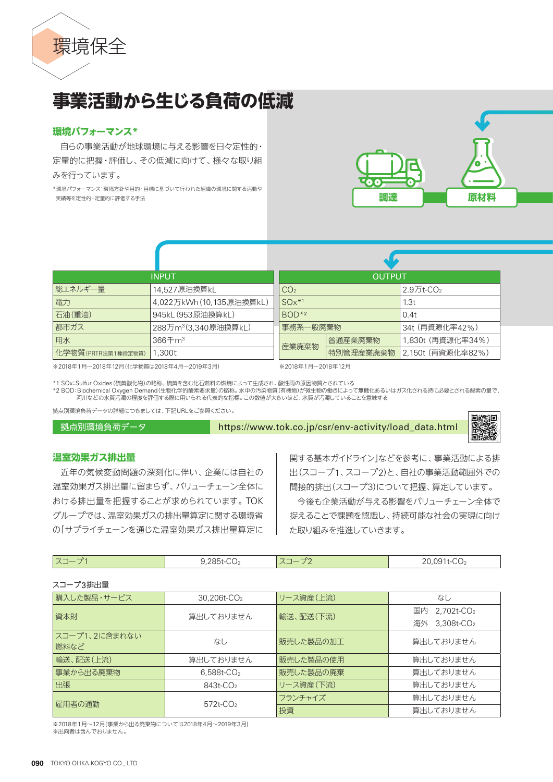

# **事業活動から生じる負荷の低減**

# **環境パフォーマンス\***

自らの事業活動が地球環境に与える影響を日々定性的・ 定量的に把握・評価し、その低減に向けて、様々な取り組 みを行っています。

\*環境パフォーマンス:環境方針や目的・目標に基づいて行われた組織の環境に関する活動や 実績等を定性的・定量的に評価する手法



| <b>INPUT</b>       |                                  | <b>OUTPUT</b>   |           |                       |
|--------------------|----------------------------------|-----------------|-----------|-----------------------|
| 総エネルギー暈            | 14,527原油換算kL                     | CO <sub>2</sub> |           | 2.9万t-CO <sub>2</sub> |
| 電力                 | 4,022万kWh(10,135原油換算kL)          | $SOx^{*1}$      |           | 1.3t                  |
| 石油(重油)             | 945kL (953原油換算kL)                | $BOD*2$         |           | 0.4t                  |
| 都市ガス               | 288万m <sup>3</sup> (3,340原油換算kL) | 事務系一般廃棄物        |           | 34t (再資源化率42%)        |
| 用水                 | $366 + m3$                       | 産業廃棄物           | 普通産業廃棄物   | 1,830t (再資源化率34%)     |
| 化学物質(PRTR法第1種指定物質) | 1.300t                           |                 | 特別管理産業廃棄物 | 2,150t (再資源化率82%)     |

※2018年1月~2018年12月(化学物質は2018年4月~2019年3月)

※2018年1月~2018年12月

\*1 SOx:Sulfur Oxides(硫黄酸化物)の略称。硫黄を含む化石燃料の燃焼によって生成され、酸性雨の原因物質とされている \*2 BOD: Biochemical Oxygen Demand(生物化学的酸素要求量)の略称。水中の汚染物質(有機物)が微生物の働きによって無機化あるいはガス化される時に必要とされる酸素の量で、 河川などの水質汚濁の程度を評価する際に用いられる代表的な指標。この数値が大きいほど、水質が汚濁していることを意味する

拠点別環境負荷データの詳細につきましては、下記URLをご参照ください。

拠点別環境負荷データ https://www.tok.co.jp/csr/env-activity/load\_data.html



# **温室効果ガス排出量**

近年の気候変動問題の深刻化に伴い、企業には自社の 温室効果ガス排出量に留まらず、バリューチェーン全体に おける排出量を把握することが求められています。TOK グループでは、温室効果ガスの排出量算定に関する環境省 の「サプライチェーンを通じた温室効果ガス排出量算定に

関する基本ガイドライン」などを参考に、事業活動による排 出(スコープ1、スコープ2)と、自社の事業活動範囲外での 間接的排出(スコープ3)について把握、算定しています。

今後も企業活動が与える影響をバリューチェーン全体で 捉えることで課題を認識し、持続可能な社会の実現に向け た取り組みを推進していきます。

| $\overline{\phantom{a}}$<br>$-$<br>∣ ∧⊒ | $\sim$<br>$20E+$<br>$\sim$<br>-UU /<br>------- | $\overline{\phantom{a}}$<br>$\overline{\phantom{a}}$<br>$\wedge$<br>—<br>— | $\sim$ $\sim$<br>ിറ<br>. .<br>20,0011002 |
|-----------------------------------------|------------------------------------------------|----------------------------------------------------------------------------|------------------------------------------|
|                                         |                                                |                                                                            |                                          |

スコープ3排出量

| 購入した製品・サービス           | 30,206t-CO <sub>2</sub>       | リース資産(上流) | なし                        |
|-----------------------|-------------------------------|-----------|---------------------------|
|                       | 資本財<br>輸送、配送(下流)<br>算出しておりません |           | $2,702$ t- $CO2$<br>国内    |
|                       |                               |           | 海外 3,308t-CO <sub>2</sub> |
| スコープ1、2に含まれない<br>燃料など | なし                            | 販売した製品の加工 | 算出しておりません                 |
| 輸送、配送(上流)             | 算出しておりません                     | 販売した製品の使用 | 算出しておりません                 |
| 事業から出る廃棄物             | $6,588t$ - $CO2$              | 販売した製品の廃棄 | 算出しておりません                 |
| 出張                    | 843t-CO <sub>2</sub>          | リース資産(下流) | 算出しておりません                 |
| 雇用者の通勤                | $572t$ -CO <sub>2</sub>       | フランチャイズ   | 算出しておりません                 |
|                       |                               | 投資        | 算出しておりません                 |

※2018年1月~12月(事業から出る廃棄物については2018年4月~2019年3月) ※出向者は含んでおりません。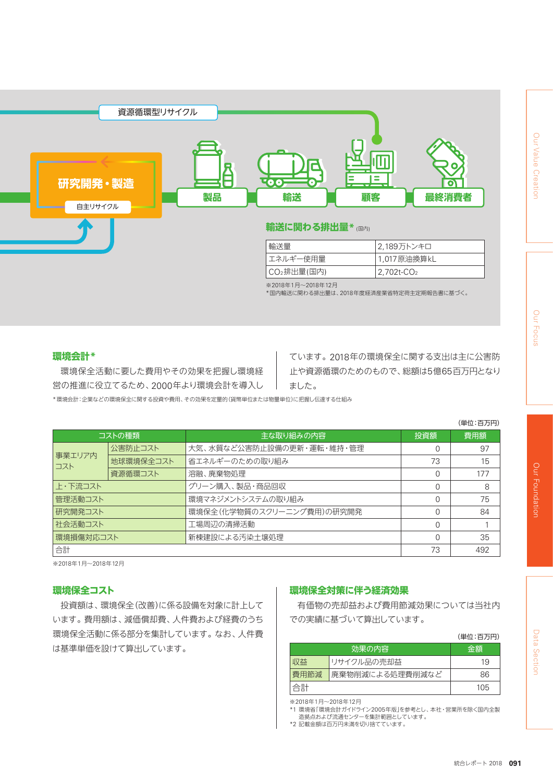

\*国内輸送に関わる排出量は、2018年度経済産業省特定荷主定期報告書に基づく。

# **環境会計\***

環境保全活動に要した費用やその効果を把握し環境経 営の推進に役立てるため、2000年より環境会計を導入し ています。2018年の環境保全に関する支出は主に公害防 止や資源循環のためのもので、総額は5億65百万円となり ました。

\*環境会計:企業などの環境保全に関する投資や費用、その効果を定量的(貨幣単位または物量単位)に把握し伝達する仕組み

|               |           |                           |          | (単位:百万円) |
|---------------|-----------|---------------------------|----------|----------|
| コストの種類        |           | 主な取り組みの内容                 | 投資額      | 費用額      |
|               | 公害防止コスト   | 大気、水質など公害防止設備の更新・運転・維持・管理 | 0        | 97       |
| 事業エリア内<br>コスト | 地球環境保全コスト | 省エネルギーのための取り組み            | 73       | 15       |
|               | 資源循環コスト   | 溶融、廃棄物処理                  | $\Omega$ | 177      |
| 上・下流コスト       |           | グリーン購入、製品・商品回収            |          | 8        |
| 管理活動コスト       |           | 環境マネジメントシステムの取り組み         |          | 75       |
| 研究開発コスト       |           | 環境保全(化学物質のスクリーニング費用)の研究開発 | $\Omega$ | 84       |
| 社会活動コスト       |           | 工場周辺の清掃活動                 | $\Omega$ |          |
| 環境損傷対応コスト     |           | 新棟建設による汚染土壌処理             | $\Omega$ | 35       |
| 合計            |           |                           | 73       | 492      |

※2018年1月~2018年12月

# **環境保全コスト**

投資額は、環境保全(改善)に係る設備を対象に計上して います。費用額は、減価償却費、人件費および経費のうち 環境保全活動に係る部分を集計しています。なお、人件費 は基準単価を設けて算出しています。

# **環境保全対策に伴う経済効果**

有価物の売却益および費用節減効果については当社内 での実績に基づいて算出しています。

|      |                 | (単位:百万円) |
|------|-----------------|----------|
|      | 効果の内容           | 金額       |
| 収益   | リサイクル品の売却益      | 19       |
| 費用節減 | 廃棄物削減による処理費削減など | 86       |
| 合計   |                 | 105      |

※2018年1月~2018年12月

\*1 環境省「環境会計ガイドライン2005年版」を参考とし、本社・営業所を除く国内全製 造拠点および流通センターを集計範囲としています。

\*2 記載金額は百万円未満を切り捨てています。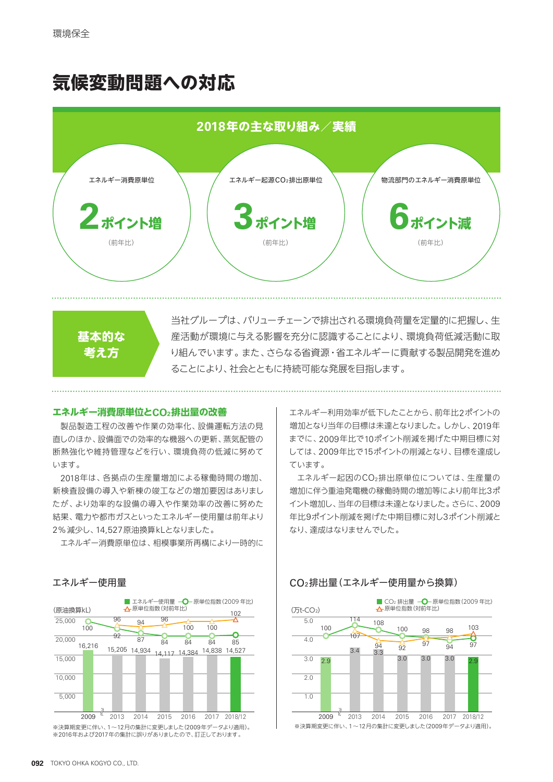# **気候変動問題への対応**



**基本的な 考え方**

当社グループは、バリューチェーンで排出される環境負荷量を定量的に把握し、生 産活動が環境に与える影響を充分に認識することにより、環境負荷低減活動に取 り組んでいます。また、さらなる省資源・省エネルギーに貢献する製品開発を進め ることにより、社会とともに持続可能な発展を目指します。

# **エネルギー消費原単位とCO2排出量の改善**

製品製造工程の改善や作業の効率化、設備運転方法の見 直しのほか、設備面での効率的な機器への更新、蒸気配管の 断熱強化や維持管理などを行い、環境負荷の低減に努めて います。

2018年は、各拠点の生産量増加による稼働時間の増加、 新検査設備の導入や新棟の竣工などの増加要因はありまし たが、より効率的な設備の導入や作業効率の改善に努めた 結果、電力や都市ガスといったエネルギー使用量は前年より 2%減少し、14,527原油換算kLとなりました。

エネルギー消費原単位は、相模事業所再構により一時的に

エネルギー利用効率が低下したことから、前年比2ポイントの 増加となり当年の目標は未達となりました。しかし、2019年 までに、2009年比で10ポイント削減を掲げた中期目標に対 しては、2009年比で15ポイントの削減となり、目標を達成し ています。

エネルギー起因のCO2排出原単位については、生産量の 増加に伴う重油発電機の稼働時間の増加等により前年比3ポ イント増加し、当年の目標は未達となりました。さらに、2009 年比9ポイント削減を掲げた中期目標に対し3ポイント削減と なり、達成はなりませんでした。



# CO2排出量(エネルギー使用量から換算)





※2016年および2017年の集計に誤りがありましたので、訂正しております。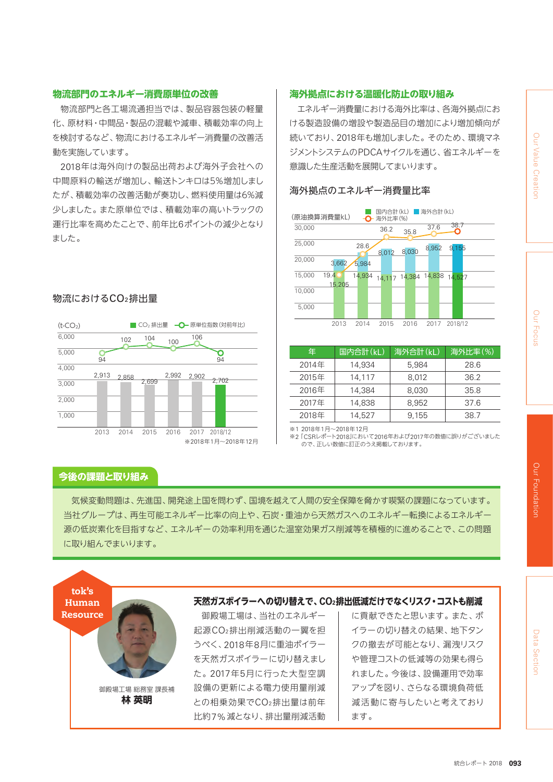# Our Value Creation Data Section Our Footal Clurt Joods of Clurt Joods of Clurt John Section Our Foundation Our Value Creation Our

# **物流部門のエネルギー消費原単位の改善**

物流部門と各工場流通担当では、製品容器包装の軽量 化、原材料・中間品・製品の混載や減車、積載効率の向上 を検討するなど、物流におけるエネルギー消費量の改善活 動を実施しています。

2018年は海外向けの製品出荷および海外子会社への 中間原料の輸送が増加し、輸送トンキロは5%増加しまし たが、積載効率の改善活動が奏功し、燃料使用量は6%減 少しました。また原単位では、積載効率の高いトラックの 運行比率を高めたことで、前年比6ポイントの減少となり ました。

# 物流におけるCO2排出量



# **今後の課題と取り組み**

気候変動問題は、先進国、開発途上国を問わず、国境を越えて人間の安全保障を脅かす喫緊の課題になっています。 当社グループは、再生可能エネルギー比率の向上や、石炭・重油から天然ガスへのエネルギー転換によるエネルギー 源の低炭素化を目指すなど、エネルギーの効率利用を通じた温室効果ガス削減等を積極的に進めることで、この問題 に取り組んでまいります。

御殿場工場は、当社のエネルギー 起源CO2排出削減活動の一翼を担 うべく、2018年8月に重油ボイラー を天然ガスボイラーに切り替えまし た。2017年5月に行った大型空調 設備の更新による電力使用量削減 との相乗効果でCO2排出量は前年 比約7%減となり、排出量削減活動 に貢献できたと思います。また、ボ イラーの切り替えの結果、地下タン クの撤去が可能となり、漏洩リスク や管理コストの低減等の効果も得ら れました。今後は、設備運用で効率 アップを図り、さらなる環境負荷低 減活動に寄与したいと考えており ます。 御殿場工場 総務室 課長補 **林 英明** tok's Human **Resource 天然ガスボイラーへの切り替えで、CO2排出低減だけでなくリスク・コストも削減**

# **海外拠点における温暖化防止の取り組み**

エネルギー消費量における海外比率は、各海外拠点にお ける製造設備の増設や製造品目の増加により増加傾向が 続いており、2018年も増加しました。そのため、環境マネ ジメントシステムのPDCAサイクルを通じ、省エネルギーを 意識した生産活動を展開してまいります。

# 海外拠点のエネルギー消費量比率



| 年     | 国内合計(kL) | 海外合計(kL) | 海外比率(%) |
|-------|----------|----------|---------|
| 2014年 | 14,934   | 5,984    | 28.6    |
| 2015年 | 14,117   | 8,012    | 36.2    |
| 2016年 | 14,384   | 8,030    | 35.8    |
| 2017年 | 14,838   | 8.952    | 37.6    |
| 2018年 | 14,527   | 9,155    | 38.7    |

※1 2018年1月~2018年12月

※2 「CSRレポート2018」において2016年および2017年の数値に誤りがございました - CONDが、下2010』において2010年および 2017<br>- ので、正しい数値に訂正のうえ掲載しております。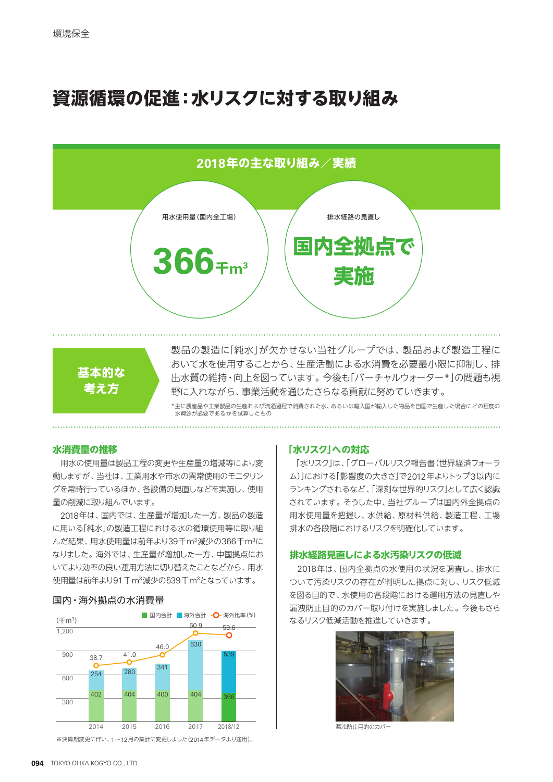# **資源循環の促進:水リスクに対する取り組み**





製品の製造に「純水」が欠かせない当社グループでは、製品および製造工程に おいて水を使用することから、生産活動による水消費を必要最小限に抑制し、排 出水質の維持・向上を図っています。今後も「バーチャルウォーター\*」の問題も視 野に入れながら、事業活動を通じたさらなる貢献に努めていきます。

\*主に農産品や工業製品の生産および流通過程で消費された水、あるいは輸入国が輸入した物品を自国で生産した場合にどの程度の 水資源が必要であるかを試算したもの

# **水消費量の推移**

用水の使用量は製品工程の変更や生産量の増減等により変 動しますが、当社は、工業用水や市水の異常使用のモニタリン グを常時行っているほか、各設備の見直しなどを実施し、使用 量の削減に取り組んでいます。

2018年は、国内では、生産量が増加した一方、製品の製造 に用いる「純水」の製造工程における水の循環使用等に取り組 んだ結果、用水使用量は前年より39千m<sup>3</sup>減少の366千m<sup>3</sup>に なりました。海外では、生産量が増加した一方、中国拠点にお いてより効率の良い運用方法に切り替えたことなどから、用水 使用量は前年より91千m3減少の539千m3 となっています。



※決算期変更に伴い、1~12月の集計に変更しました(2014年データより適用)。

# **「水リスク」への対応**

「水リスク」は、「グローバルリスク報告書(世界経済フォーラ ム)」における「影響度の大きさ」で2012年よりトップ3以内に ランキングされるなど、「深刻な世界的リスク」として広く認識 されています。そうした中、当社グループは国内外全拠点の 用水使用量を把握し、水供給、原材料供給、製造工程、工場 排水の各段階におけるリスクを明確化しています。

# **排水経路見直しによる水汚染リスクの低減**

2018年は、国内全拠点の水使用の状況を調査し、排水に ついて汚染リスクの存在が判明した拠点に対し、リスク低減 を図る目的で、水使用の各段階における運用方法の見直しや 漏洩防止目的のカバー取り付けを実施しました。今後もさら なるリスク低減活動を推進していきます。



漏洩防止目的のカバー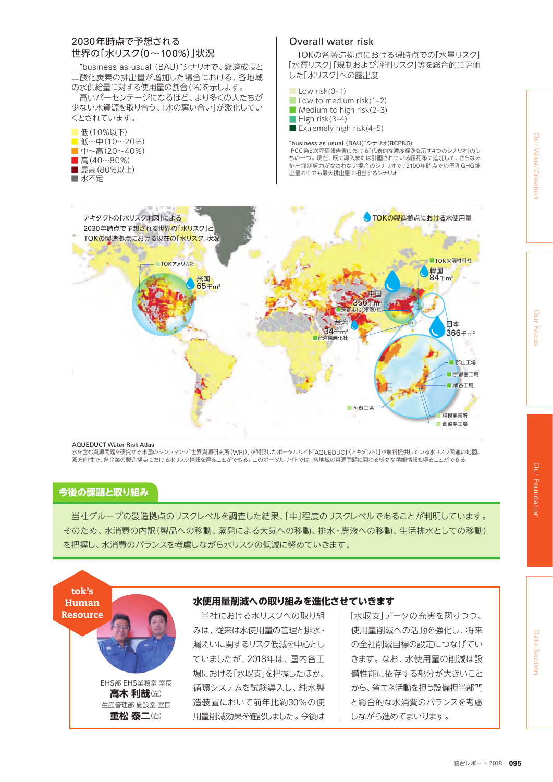# 2030年時点で予想される 世界の「水リスク(0~100%)」状況

ー・・・・。<br>"business as usual (BAU)"シナリオで、経済成長と - Dasiness as usual (BAO) ファッオで、社府成長と<br>二酸化炭素の排出量が増加した場合における、各地域 の水供給量に対する使用量の割合(%)を示します。<br>| —欧1L灰糸V刀山里か垣加Uに场口にのける、甘地以<br>- ・・・・・・・・・・・・ ーー・・・・・・・・

高いパーセンテージになるほど、より多くの人たちが 少ない水資源を取り合う、「水の奪い合い」が激化してい くとされています。

- 低(10%以下) ■ 低~中(10~20%) ■ 中~高(20~40%)
- 高 $(40~80%)$
- 最高(80%以上)
- 水不足

# **Overall water risk**

TOKの各製造拠点における現時点での「水量リスク」 - Comments Comments Septemine Comments See 2009<br>「水質リスク」「規制および評判リスク」等を総合的に評価 した「水リスク」への露出度

- $\Box$  Low risk(0–1)
- $\blacksquare$  Low to medium risk(1–2)
- Medium to high risk(2–3)
- High risk(3–4)
- Extremely high risk(4–5)

## "business as usual (BAU)"シナリオ(RCP8.5)

IPCC第5次評価報告書における「代表的な濃度経路を示す4つのシナリオ」のう ちの一つ。現在、既に導入または計画されている緩和策に追加して、さらなる 排出抑制努力がなされない場合のシナリオで、2100年時点での予測GHG排 出量の中でも最大排出量に相当するシナリオ



### AQUEDUCT Water Risk Atlas

水を含む資源問題を研究する米国のシンクタンク「世界資源研究所(WRI)」が開設したポータルサイト「AQUEDUCT(アキダクト)」が無料提供している水リスク関連の地図。<br>双方向性で、各企業の製造拠点における水リスク情報を得ることができる。このポータルサイトでは、各地域の資源問題に関わる様々な精細情報も得ることができる

# **今後の課題と取り組み**

当社グループの製造拠点のリスクレベルを調査した結果、「中」程度のリスクレベルであることが判明しています。 そのため、水消費の内訳(製品への移動、蒸発による大気への移動、排水・廃液への移動、生活排水としての移動) を把握し、水消費のバランスを考慮しながら水リスクの低減に努めていきます。

**水使用量削減への取り組みを進化させていきます**

tok's Human



生産管理部 施設室 室長 **重松 泰二**(右)

# みは、従来は水使用量の管理と排水・

当社における水リスクへの取り組

漏えいに関するリスク低減を中心とし ていましたが、2018年は、国内各工 場における「水収支」を把握したほか、 循環システムを試験導入し、純水製 造装置において前年比約30%の使 用量削減効果を確認しました。今後は

「水収支」データの充実を図りつつ、 使用量削減への活動を強化し、将来 の全社削減目標の設定につなげてい きます。なお、水使用量の削減は設 備性能に依存する部分が大きいこと から、省エネ活動を担う設備担当部門 と総合的な水消費のバランスを考慮 しながら進めてまいります。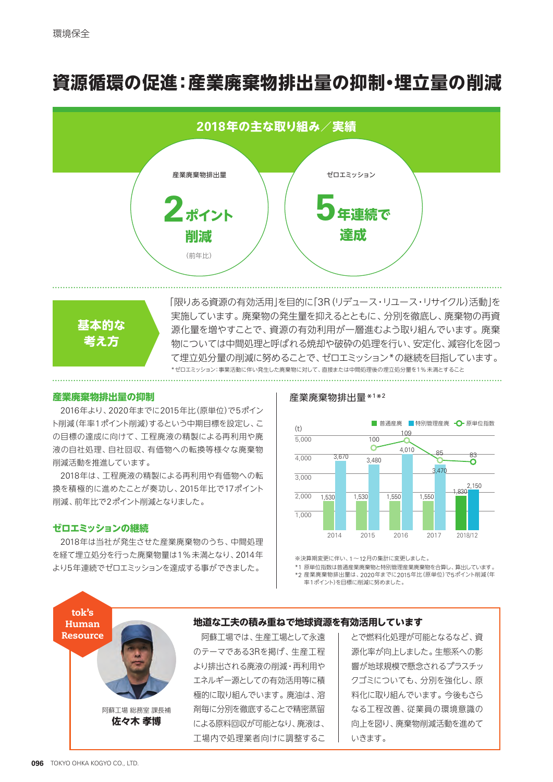# **資源循環の促進:産業廃棄物排出量の抑制・埋立量の削減**





「限りある資源の有効活用」を目的に「3R(リデュース・リユース・リサイクル)活動」を 実施しています。廃棄物の発生量を抑えるとともに、分別を徹底し、廃棄物の再資 源化量を増やすことで、資源の有効利用が一層進むよう取り組んでいます。廃棄 物については中間処理と呼ばれる焼却や破砕の処理を行い、安定化、減容化を図っ て埋立処分量の削減に努めることで、ゼロエミッション\*の継続を目指しています。 \*ゼロエミッション:事業活動に伴い発生した廃棄物に対して、直接または中間処理後の埋立処分量を1%未満とすること

# **産業廃棄物排出量の抑制**

2016年より、2020年までに2015年比(原単位)で5ポイン ト削減(年率1ポイント削減)するという中期目標を設定し、こ の目標の達成に向けて、工程廃液の精製による再利用や廃 液の自社処理、自社回収、有価物への転換等様々な廃棄物 削減活動を推進しています。

2018年は、工程廃液の精製による再利用や有価物への転 換を積極的に進めたことが奏功し、2015年比で17ポイント 削減、前年比で2ポイント削減となりました。

# **ゼロエミッションの継続**

2018年は当社が発生させた産業廃棄物のうち、中間処理 を経て埋立処分を行った廃棄物量は1%未満となり、2014年 より5年連続でゼロエミッションを達成する事ができました。

> 阿蘇工場 総務室 課長補 **佐々木 孝博**

# 産業廃棄物排出量\*1 \*2



※決算期変更に伴い、1~12月の集計に変更しました。

\*1 原単位指数は普通産業廃棄物と特別管理産業廃棄物を合算し、算出しています。 \*2 産業廃棄物排出量は、2020年までに2015年比(原単位)で5ポイント削減(年

率1ポイント)を目標に削減に努めました。

# **地道な工夫の積み重ねで地球資源を有効活用しています**

阿蘇工場では、生産工場として永遠 のテーマである3Rを掲げ、生産工程 より排出される廃液の削減・再利用や エネルギー源としての有効活用等に積 極的に取り組んでいます。廃油は、溶 剤毎に分別を徹底することで精密蒸留 による原料回収が可能となり、廃液は、 工場内で処理業者向けに調整するこ

とで燃料化処理が可能となるなど、資 源化率が向上しました。生態系への影 響が地球規模で懸念されるプラスチッ クゴミについても、分別を強化し、原 料化に取り組んでいます。今後もさら なる工程改善、従業員の環境意識の 向上を図り、廃棄物削減活動を進めて いきます。

tok's Human Resource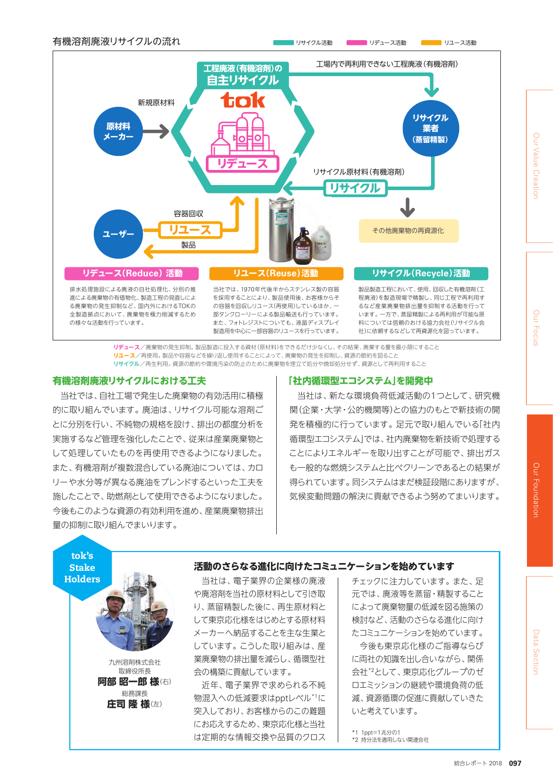

**リデュース**/廃棄物の発生抑制。製品製造に投入する資材(原材料)をできるだけ少なくし、その結果、廃棄する量を最小限にすること **リユース**/再使用。製品や容器などを繰り返し使用することによって、廃棄物の発生を抑制し、資源の節約を図ること **リサイクル**/再生利用。資源の節約や環境汚染の防止のために廃棄物を埋立て処分や焼却処分せず、資源として再利用すること

# **有機溶剤廃液リサイクルにおける工夫**

九州溶剤株式会社 取締役所長 **阿部 昭一郎 様**(右) 総務課長 **庄司 隆 様**(左)

tok's **Stake** 

当社では、自社工場で発生した廃棄物の有効活用に積極 的に取り組んでいます。廃油は、リサイクル可能な溶剤ご とに分別を行い、不純物の規格を設け、排出の都度分析を 実施するなど管理を強化したことで、従来は産業廃棄物と して処理していたものを再使用できるようになりました。 また、有機溶剤が複数混合している廃油については、カロ リーや水分等が異なる廃油をブレンドするといった工夫を 施したことで、助燃剤として使用できるようになりました。 今後もこのような資源の有効利用を進め、産業廃棄物排出 量の抑制に取り組んでまいります。

# **「社内循環型エコシステム」を開発中**

当社は、新たな環境負荷低減活動の1つとして、研究機 関(企業・大学・公的機関等)との協力のもとで新技術の開 発を積極的に行っています。足元で取り組んでいる「社内 循環型エコシステム」では、社内廃棄物を新技術で処理する ことによりエネルギーを取り出すことが可能で、排出ガス も一般的な燃焼システムと比べクリーンであるとの結果が 得られています。同システムはまだ検証段階にありますが、 気候変動問題の解決に貢献できるよう努めてまいります。

# **活動のさらなる進化に向けたコミュニケーションを始めています**

Holders 1 また、 当社は、電子業界の企業様の廃液 や廃溶剤を当社の原材料として引き取 り、蒸留精製した後に、再生原材料と して東京応化様をはじめとする原材料 メーカーへ納品することを主な生業と しています。こうした取り組みは、産 業廃棄物の排出量を減らし、循環型社 会の構築に貢献しています。

> 近年、電子業界で求められる不純 物混入への低減要求はpptレベル\*1に 突入しており、お客様からのこの難題 にお応えするため、東京応化様と当社 は定期的な情報交換や品質のクロス

チェックに注力しています。また、足 元では、廃液等を蒸留・精製すること によって廃棄物量の低減を図る施策の 検討など、活動のさらなる進化に向け たコミュニケーションを始めています。

今後も東京応化様のご指導ならび に両社の知識を出し合いながら、関係 会社\*2として、東京応化グループのゼ ロエミッションの継続や環境負荷の低 減、資源循環の促進に貢献していきた いと考えています。

\*1 1ppt=1兆分の1

\*2 持分法を適用しない関連会社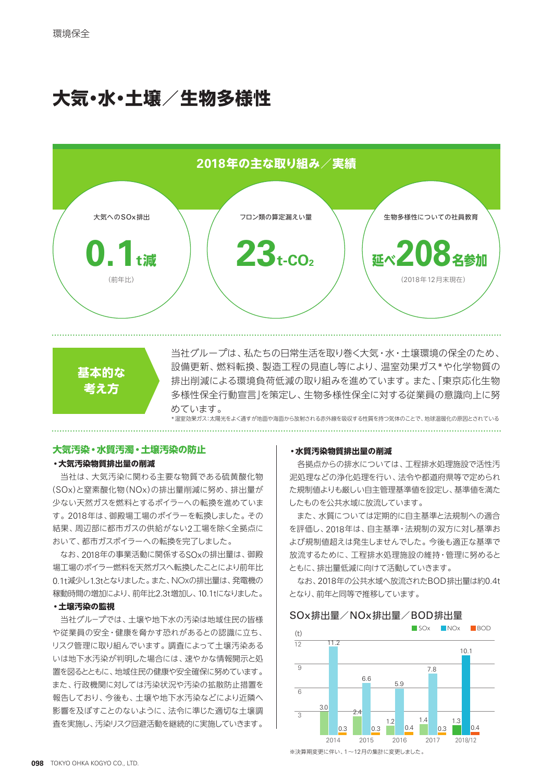# **大気・水・土壌/生物多様性**





当社グループは、私たちの日常生活を取り巻く大気・水・土壌環境の保全のため、 設備更新、燃料転換、製造工程の見直し等により、温室効果ガス\*や化学物質の 排出削減による環境負荷低減の取り組みを進めています。また、「東京応化生物 多様性保全行動宣言」を策定し、生物多様性保全に対する従業員の意識向上に努 めています。

\*温室効果ガス:太陽光をよく通すが地面や海面から放射される赤外線を吸収する性質を持つ気体のことで、地球温暖化の原因とされている

# **大気汚染・水質汚濁・土壌汚染の防止**

# **・大気汚染物質排出量の削減**

当社は、大気汚染に関わる主要な物質である硫黄酸化物 (SOx)と窒素酸化物(NOx)の排出量削減に努め、排出量が 少ない天然ガスを燃料とするボイラ-への転換を進めていま す。2018年は、御殿場工場のボイラーを転換しました。その 結果、周辺部に都市ガスの供給がない2工場を除く全拠点に おいて、都市ガスボイラーへの転換を完了しました。

なお、2018年の事業活動に関係するSOxの排出量は、御殿 場工場のボイラー燃料を天然ガスへ転換したことにより前年比 0.1t減少し1.3tとなりました。また、NOxの排出量は、発電機の 稼動時間の増加により、前年比2.3t増加し、10.1tになりました。

# **・土壌汚染の監視**

当社グル-プでは、土壌や地下水の汚染は地域住民の皆様 や従業員の安全・健康を脅かす恐れがあるとの認識に立ち、 リスク管理に取り組んでいます。調査によって土壌汚染ある いは地下水汚染が判明した場合には、速やかな情報開示と処 置を図るとともに、地域住民の健康や安全確保に努めています。 また、行政機関に対しては汚染状況や汚染の拡散防止措置を 報告しており、今後も、土壌や地下水汚染などにより近隣へ 影響を及ぼすことのないように、法令に準じた適切な土壌調 査を実施し、汚染リスク回避活動を継続的に実施していきます。

### **・水質汚染物質排出量の削減**

各拠点からの排水については、工程排水処理施設で活性汚 泥処理などの浄化処理を行い、法令や都道府県等で定められ た規制値よりも厳しい自主管理基準値を設定し、基準値を満た したものを公共水域に放流しています。

また、水質については定期的に自主基準と法規制への適合 を評価し、2018年は、自主基準・法規制の双方に対し基準お よび規制値超えは発生しませんでした。今後も適正な基準で 放流するために、工程排水処理施設の維持・管理に努めると ともに、排出量低減に向けて活動していきます。

なお、2018年の公共水域へ放流されたBOD排出量は約0.4t となり、前年と同等で推移しています。

# SOx排出量/NOx排出量/BOD排出量



※決算期変更に伴い、1~12月の集計に変更しました。